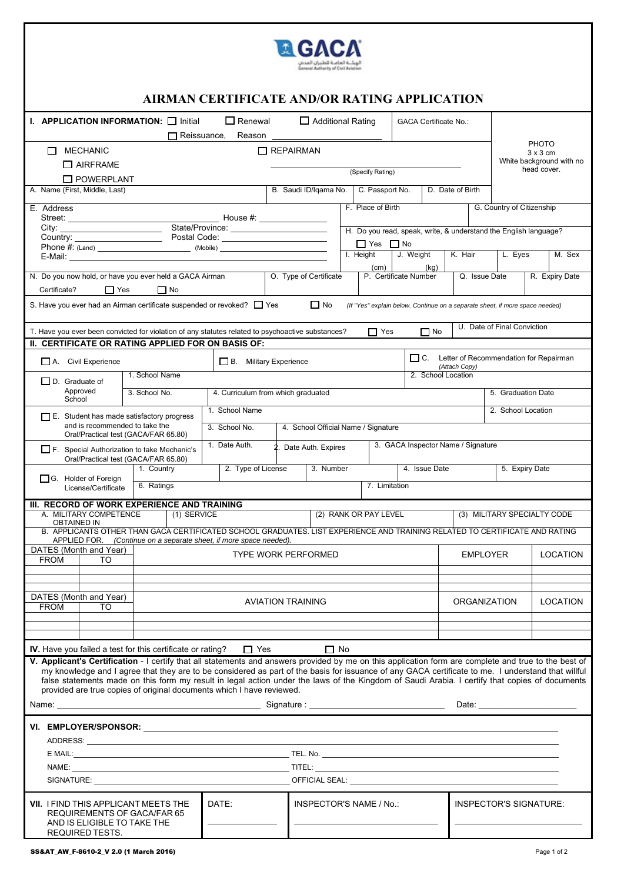$\begin{array}{c} \square \\ \square \end{array}$  $\Box$  $\Box$